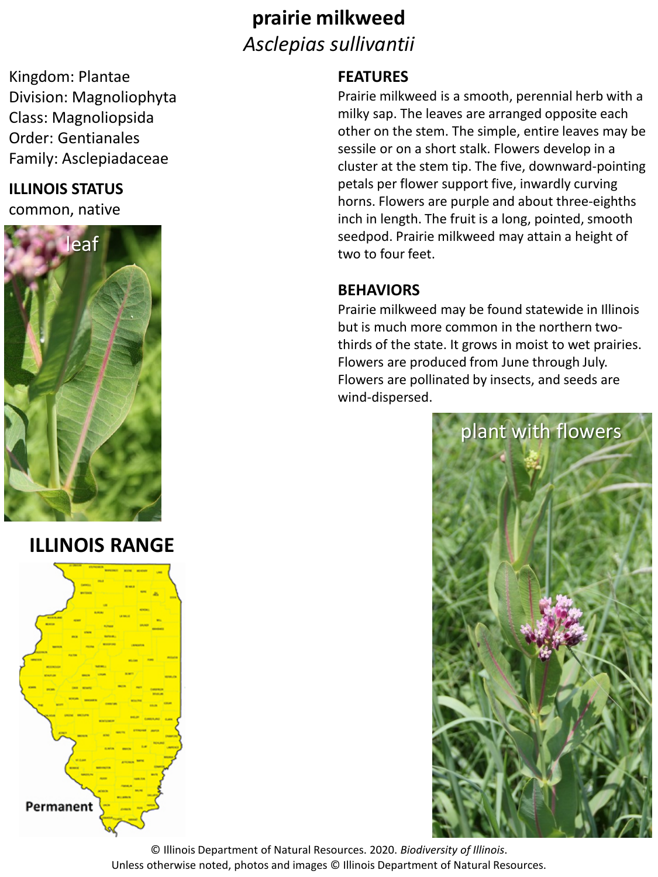## **prairie milkweed** *Asclepias sullivantii*

Kingdom: Plantae Division: Magnoliophyta Class: Magnoliopsida Order: Gentianales Family: Asclepiadaceae

## **ILLINOIS STATUS**

common, native



**ILLINOIS RANGE**



## **FEATURES**

Prairie milkweed is a smooth, perennial herb with a milky sap. The leaves are arranged opposite each other on the stem. The simple, entire leaves may be sessile or on a short stalk. Flowers develop in a cluster at the stem tip. The five, downward-pointing petals per flower support five, inwardly curving horns. Flowers are purple and about three-eighths inch in length. The fruit is a long, pointed, smooth seedpod. Prairie milkweed may attain a height of two to four feet.

## **BEHAVIORS**

Prairie milkweed may be found statewide in Illinois but is much more common in the northern twothirds of the state. It grows in moist to wet prairies. Flowers are produced from June through July. Flowers are pollinated by insects, and seeds are wind-dispersed.



© Illinois Department of Natural Resources. 2020. *Biodiversity of Illinois*. Unless otherwise noted, photos and images © Illinois Department of Natural Resources.